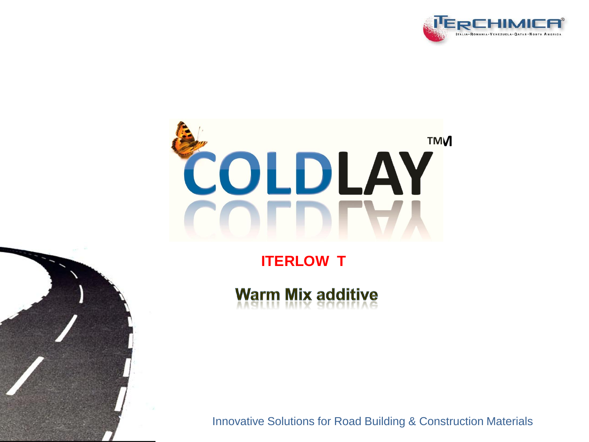



# **ITERLOW T**

**Warm Mix additive** 

Innovative Solutions for Road Building & Construction Materials